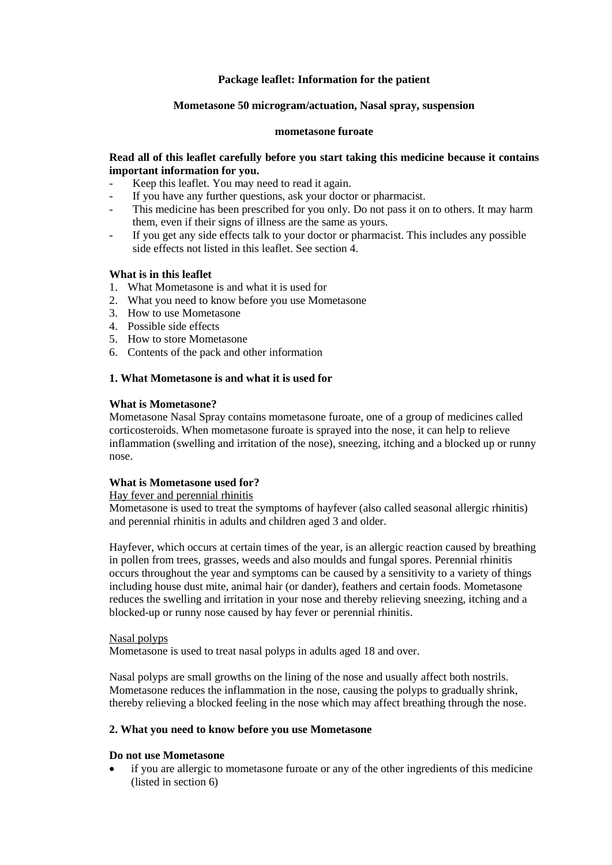## **Package leaflet: Information for the patient**

### **Mometasone 50 microgram/actuation, Nasal spray, suspension**

#### **mometasone furoate**

### **Read all of this leaflet carefully before you start taking this medicine because it contains important information for you.**

- Keep this leaflet. You may need to read it again.
- If you have any further questions, ask your doctor or pharmacist.
- This medicine has been prescribed for you only. Do not pass it on to others. It may harm them, even if their signs of illness are the same as yours.
- If you get any side effects talk to your doctor or pharmacist. This includes any possible side effects not listed in this leaflet. See section 4.

### **What is in this leaflet**

- 1. What Mometasone is and what it is used for
- 2. What you need to know before you use Mometasone
- 3. How to use Mometasone
- 4. Possible side effects
- 5. How to store Mometasone
- 6. Contents of the pack and other information

### **1. What Mometasone is and what it is used for**

### **What is Mometasone?**

Mometasone Nasal Spray contains mometasone furoate, one of a group of medicines called corticosteroids. When mometasone furoate is sprayed into the nose, it can help to relieve inflammation (swelling and irritation of the nose), sneezing, itching and a blocked up or runny nose.

### **What is Mometasone used for?**

### Hay fever and perennial rhinitis

Mometasone is used to treat the symptoms of hayfever (also called seasonal allergic rhinitis) and perennial rhinitis in adults and children aged 3 and older.

Hayfever, which occurs at certain times of the year, is an allergic reaction caused by breathing in pollen from trees, grasses, weeds and also moulds and fungal spores. Perennial rhinitis occurs throughout the year and symptoms can be caused by a sensitivity to a variety of things including house dust mite, animal hair (or dander), feathers and certain foods. Mometasone reduces the swelling and irritation in your nose and thereby relieving sneezing, itching and a blocked-up or runny nose caused by hay fever or perennial rhinitis.

#### Nasal polyps

Mometasone is used to treat nasal polyps in adults aged 18 and over.

Nasal polyps are small growths on the lining of the nose and usually affect both nostrils. Mometasone reduces the inflammation in the nose, causing the polyps to gradually shrink, thereby relieving a blocked feeling in the nose which may affect breathing through the nose.

### **2. What you need to know before you use Mometasone**

#### **Do not use Mometasone**

 if you are allergic to mometasone furoate or any of the other ingredients of this medicine (listed in section 6)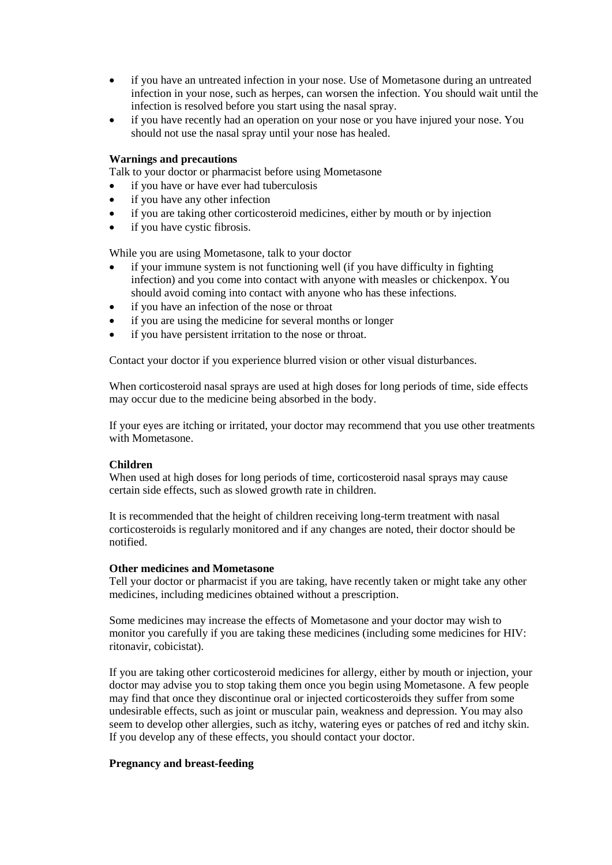- if you have an untreated infection in your nose. Use of Mometasone during an untreated infection in your nose, such as herpes, can worsen the infection. You should wait until the infection is resolved before you start using the nasal spray.
- if you have recently had an operation on your nose or you have injured your nose. You should not use the nasal spray until your nose has healed.

### **Warnings and precautions**

Talk to your doctor or pharmacist before using Mometasone

- if you have or have ever had tuberculosis
- if you have any other infection
- if you are taking other corticosteroid medicines, either by mouth or by injection
- if you have cystic fibrosis.

While you are using Mometasone, talk to your doctor

- if your immune system is not functioning well (if you have difficulty in fighting infection) and you come into contact with anyone with measles or chickenpox. You should avoid coming into contact with anyone who has these infections.
- if you have an infection of the nose or throat
- if you are using the medicine for several months or longer
- if you have persistent irritation to the nose or throat.

Contact your doctor if you experience blurred vision or other visual disturbances.

When corticosteroid nasal sprays are used at high doses for long periods of time, side effects may occur due to the medicine being absorbed in the body.

If your eyes are itching or irritated, your doctor may recommend that you use other treatments with Mometasone.

#### **Children**

When used at high doses for long periods of time, corticosteroid nasal sprays may cause certain side effects, such as slowed growth rate in children.

It is recommended that the height of children receiving long-term treatment with nasal corticosteroids is regularly monitored and if any changes are noted, their doctor should be notified.

#### **Other medicines and Mometasone**

Tell your doctor or pharmacist if you are taking, have recently taken or might take any other medicines, including medicines obtained without a prescription.

Some medicines may increase the effects of Mometasone and your doctor may wish to monitor you carefully if you are taking these medicines (including some medicines for HIV: ritonavir, cobicistat).

If you are taking other corticosteroid medicines for allergy, either by mouth or injection, your doctor may advise you to stop taking them once you begin using Mometasone. A few people may find that once they discontinue oral or injected corticosteroids they suffer from some undesirable effects, such as joint or muscular pain, weakness and depression. You may also seem to develop other allergies, such as itchy, watering eyes or patches of red and itchy skin. If you develop any of these effects, you should contact your doctor.

#### **Pregnancy and breast-feeding**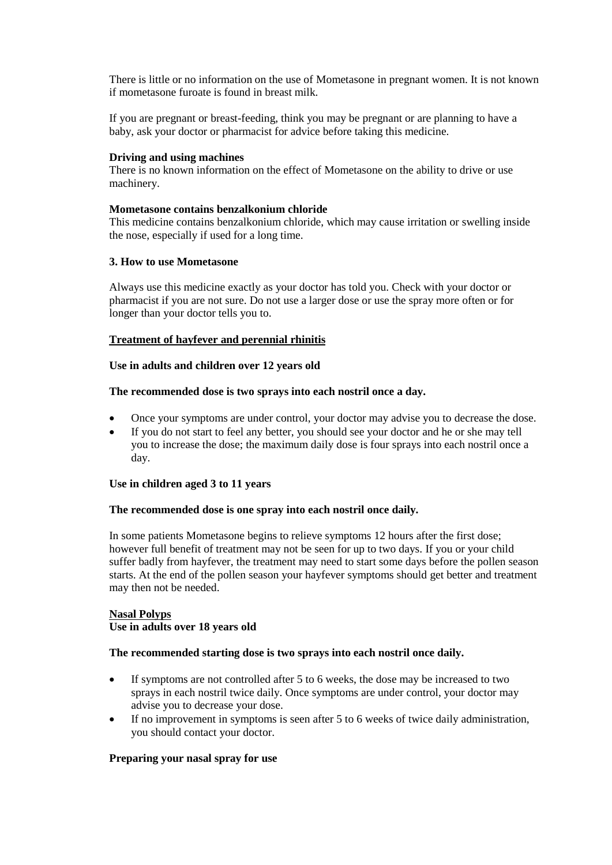There is little or no information on the use of Mometasone in pregnant women. It is not known if mometasone furoate is found in breast milk.

If you are pregnant or breast-feeding, think you may be pregnant or are planning to have a baby, ask your doctor or pharmacist for advice before taking this medicine.

### **Driving and using machines**

There is no known information on the effect of Mometasone on the ability to drive or use machinery.

### **Mometasone contains benzalkonium chloride**

This medicine contains benzalkonium chloride, which may cause irritation or swelling inside the nose, especially if used for a long time.

### **3. How to use Mometasone**

Always use this medicine exactly as your doctor has told you. Check with your doctor or pharmacist if you are not sure. Do not use a larger dose or use the spray more often or for longer than your doctor tells you to.

### **Treatment of hayfever and perennial rhinitis**

### **Use in adults and children over 12 years old**

### **The recommended dose is two sprays into each nostril once a day.**

- Once your symptoms are under control, your doctor may advise you to decrease the dose.
- If you do not start to feel any better, you should see your doctor and he or she may tell you to increase the dose; the maximum daily dose is four sprays into each nostril once a day.

### **Use in children aged 3 to 11 years**

#### **The recommended dose is one spray into each nostril once daily.**

In some patients Mometasone begins to relieve symptoms 12 hours after the first dose; however full benefit of treatment may not be seen for up to two days. If you or your child suffer badly from hayfever, the treatment may need to start some days before the pollen season starts. At the end of the pollen season your hayfever symptoms should get better and treatment may then not be needed.

### **Nasal Polyps**

### **Use in adults over 18 years old**

#### **The recommended starting dose is two sprays into each nostril once daily.**

- If symptoms are not controlled after 5 to 6 weeks, the dose may be increased to two sprays in each nostril twice daily. Once symptoms are under control, your doctor may advise you to decrease your dose.
- If no improvement in symptoms is seen after 5 to 6 weeks of twice daily administration, you should contact your doctor.

#### **Preparing your nasal spray for use**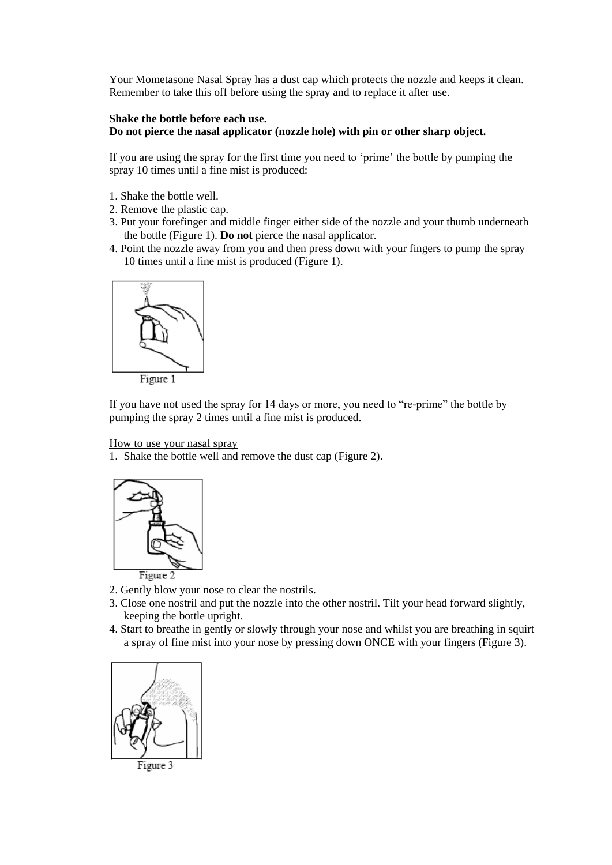Your Mometasone Nasal Spray has a dust cap which protects the nozzle and keeps it clean. Remember to take this off before using the spray and to replace it after use.

### **Shake the bottle before each use.**

**Do not pierce the nasal applicator (nozzle hole) with pin or other sharp object.**

If you are using the spray for the first time you need to 'prime' the bottle by pumping the spray 10 times until a fine mist is produced:

- 1. Shake the bottle well.
- 2. Remove the plastic cap.
- 3. Put your forefinger and middle finger either side of the nozzle and your thumb underneath the bottle (Figure 1). **Do not** pierce the nasal applicator.
- 4. Point the nozzle away from you and then press down with your fingers to pump the spray 10 times until a fine mist is produced (Figure 1).



If you have not used the spray for 14 days or more, you need to "re-prime" the bottle by pumping the spray 2 times until a fine mist is produced.

#### How to use your nasal spray

1. Shake the bottle well and remove the dust cap (Figure 2).



- 2. Gently blow your nose to clear the nostrils.
- 3. Close one nostril and put the nozzle into the other nostril. Tilt your head forward slightly, keeping the bottle upright.
- 4. Start to breathe in gently or slowly through your nose and whilst you are breathing in squirt a spray of fine mist into your nose by pressing down ONCE with your fingers (Figure 3).

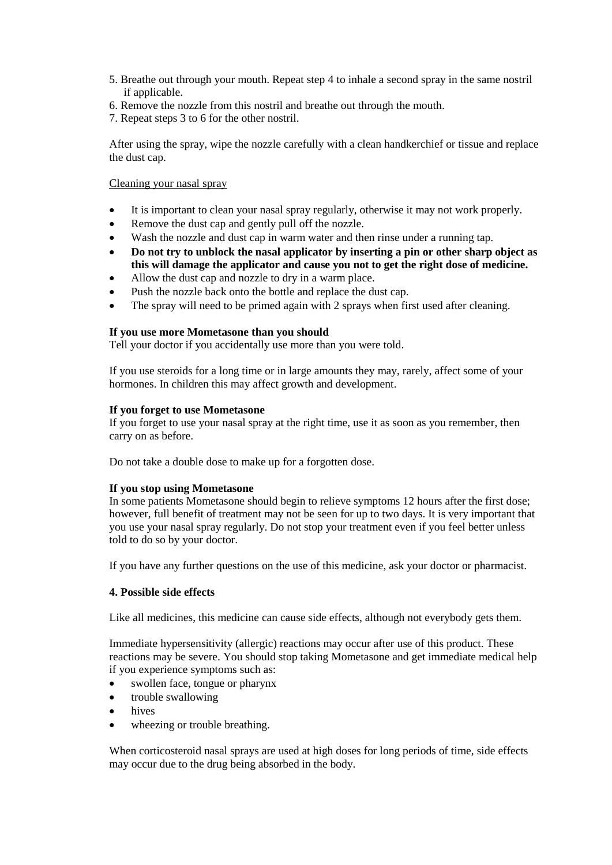- 5. Breathe out through your mouth. Repeat step 4 to inhale a second spray in the same nostril if applicable.
- 6. Remove the nozzle from this nostril and breathe out through the mouth.
- 7. Repeat steps 3 to 6 for the other nostril.

After using the spray, wipe the nozzle carefully with a clean handkerchief or tissue and replace the dust cap.

### Cleaning your nasal spray

- It is important to clean your nasal spray regularly, otherwise it may not work properly.
- Remove the dust cap and gently pull off the nozzle.
- Wash the nozzle and dust cap in warm water and then rinse under a running tap.
- **Do not try to unblock the nasal applicator by inserting a pin or other sharp object as this will damage the applicator and cause you not to get the right dose of medicine.**
- Allow the dust cap and nozzle to dry in a warm place.
- Push the nozzle back onto the bottle and replace the dust cap.
- The spray will need to be primed again with 2 sprays when first used after cleaning.

### **If you use more Mometasone than you should**

Tell your doctor if you accidentally use more than you were told.

If you use steroids for a long time or in large amounts they may, rarely, affect some of your hormones. In children this may affect growth and development.

#### **If you forget to use Mometasone**

If you forget to use your nasal spray at the right time, use it as soon as you remember, then carry on as before.

Do not take a double dose to make up for a forgotten dose.

#### **If you stop using Mometasone**

In some patients Mometasone should begin to relieve symptoms 12 hours after the first dose; however, full benefit of treatment may not be seen for up to two days. It is very important that you use your nasal spray regularly. Do not stop your treatment even if you feel better unless told to do so by your doctor.

If you have any further questions on the use of this medicine, ask your doctor or pharmacist.

### **4. Possible side effects**

Like all medicines, this medicine can cause side effects, although not everybody gets them.

Immediate hypersensitivity (allergic) reactions may occur after use of this product. These reactions may be severe. You should stop taking Mometasone and get immediate medical help if you experience symptoms such as:

- swollen face, tongue or pharynx
- trouble swallowing
- hives
- wheezing or trouble breathing.

When corticosteroid nasal sprays are used at high doses for long periods of time, side effects may occur due to the drug being absorbed in the body.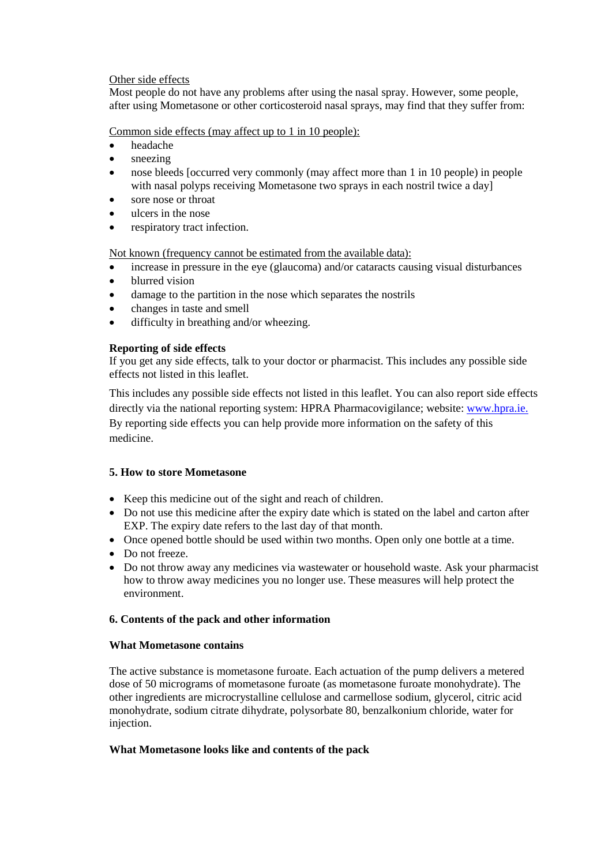## Other side effects

Most people do not have any problems after using the nasal spray. However, some people, after using Mometasone or other corticosteroid nasal sprays, may find that they suffer from:

## Common side effects (may affect up to 1 in 10 people):

- headache
- sneezing
- nose bleeds [occurred very commonly (may affect more than 1 in 10 people) in people with nasal polyps receiving Mometasone two sprays in each nostril twice a day]
- sore nose or throat
- ulcers in the nose
- respiratory tract infection.

Not known (frequency cannot be estimated from the available data):

- increase in pressure in the eye (glaucoma) and/or cataracts causing visual disturbances
- blurred vision
- damage to the partition in the nose which separates the nostrils
- changes in taste and smell
- difficulty in breathing and/or wheezing.

# **Reporting of side effects**

If you get any side effects, talk to your doctor or pharmacist. This includes any possible side effects not listed in this leaflet.

This includes any possible side effects not listed in this leaflet. You can also report side effects directly via the national reporting system: HPRA Pharmacovigilance; website: [www.hpra.ie.](http://www.hpra.ie/) By reporting side effects you can help provide more information on the safety of this medicine.

# **5. How to store Mometasone**

- Keep this medicine out of the sight and reach of children.
- Do not use this medicine after the expiry date which is stated on the label and carton after EXP. The expiry date refers to the last day of that month.
- Once opened bottle should be used within two months. Open only one bottle at a time.
- Do not freeze.
- Do not throw away any medicines via wastewater or household waste. Ask your pharmacist how to throw away medicines you no longer use. These measures will help protect the environment.

### **6. Contents of the pack and other information**

### **What Mometasone contains**

The active substance is mometasone furoate. Each actuation of the pump delivers a metered dose of 50 micrograms of mometasone furoate (as mometasone furoate monohydrate). The other ingredients are microcrystalline cellulose and carmellose sodium, glycerol, citric acid monohydrate, sodium citrate dihydrate, polysorbate 80, benzalkonium chloride, water for injection.

# **What Mometasone looks like and contents of the pack**